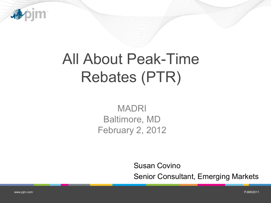

## All About Peak-Time Rebates (PTR)

MADRI Baltimore, MD February 2, 2012

Susan Covino

Senior Consultant, Emerging Markets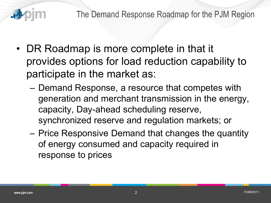

- DR Roadmap is more complete in that it provides options for load reduction capability to participate in the market as:
	- Demand Response, a resource that competes with generation and merchant transmission in the energy, capacity, Day-ahead scheduling reserve, synchronized reserve and regulation markets; or
	- Price Responsive Demand that changes the quantity of energy consumed and capacity required in response to prices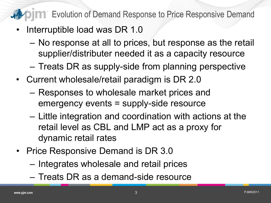**THE Strutuse 1 Strutuse 10 Temand Response to Price Responsive Demand** 

- Interruptible load was DR 1.0
	- No response at all to prices, but response as the retail supplier/distributer needed it as a capacity resource
	- Treats DR as supply-side from planning perspective
- Current wholesale/retail paradigm is DR 2.0
	- Responses to wholesale market prices and emergency events = supply-side resource
	- Little integration and coordination with actions at the retail level as CBL and LMP act as a proxy for dynamic retail rates
- Price Responsive Demand is DR 3.0
	- Integrates wholesale and retail prices
	- Treats DR as a demand-side resource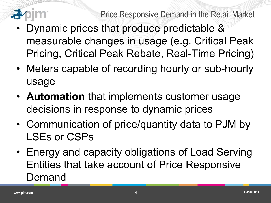

- Dynamic prices that produce predictable & measurable changes in usage (e.g. Critical Peak Pricing, Critical Peak Rebate, Real-Time Pricing)
- Meters capable of recording hourly or sub-hourly usage
- **Automation** that implements customer usage decisions in response to dynamic prices
- Communication of price/quantity data to PJM by LSEs or CSPs
- Energy and capacity obligations of Load Serving Entities that take account of Price Responsive Demand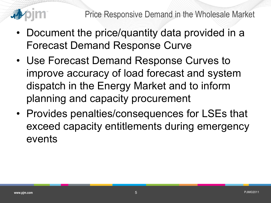

- Document the price/quantity data provided in a Forecast Demand Response Curve
- Use Forecast Demand Response Curves to improve accuracy of load forecast and system dispatch in the Energy Market and to inform planning and capacity procurement
- Provides penalties/consequences for LSEs that exceed capacity entitlements during emergency events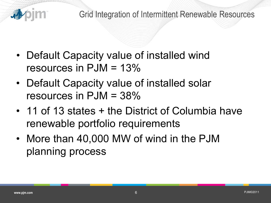

- Default Capacity value of installed wind resources in  $PJM = 13\%$
- Default Capacity value of installed solar resources in PJM = 38%
- 11 of 13 states + the District of Columbia have renewable portfolio requirements
- More than 40,000 MW of wind in the PJM planning process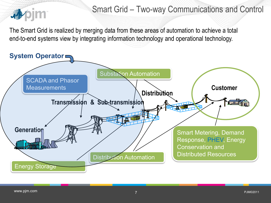

## Smart Grid – Two-way Communications and Control

The Smart Grid is realized by merging data from these areas of automation to achieve a total end-to-end systems view by integrating information technology and operational technology.

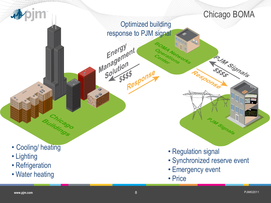

- Lighting
- Refrigeration
- Water heating
- Regulation signal
- Synchronized reserve event
- Emergency event
- Price